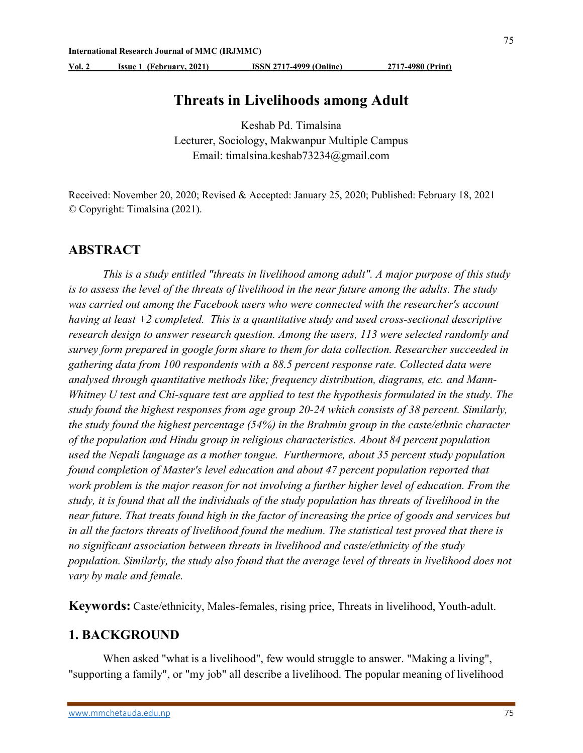Vol. 2 Issue 1 (February, 2021) ISSN 2717-4999 (Online) 2717-4980 (Print)

## Threats in Livelihoods among Adult

Keshab Pd. Timalsina Lecturer, Sociology, Makwanpur Multiple Campus Email: timalsina.keshab73234@gmail.com

Received: November 20, 2020; Revised & Accepted: January 25, 2020; Published: February 18, 2021 © Copyright: Timalsina (2021).

### ABSTRACT

 This is a study entitled "threats in livelihood among adult". A major purpose of this study is to assess the level of the threats of livelihood in the near future among the adults. The study was carried out among the Facebook users who were connected with the researcher's account having at least  $+2$  completed. This is a quantitative study and used cross-sectional descriptive research design to answer research question. Among the users, 113 were selected randomly and survey form prepared in google form share to them for data collection. Researcher succeeded in gathering data from 100 respondents with a 88.5 percent response rate. Collected data were analysed through quantitative methods like; frequency distribution, diagrams, etc. and Mann-Whitney U test and Chi-square test are applied to test the hypothesis formulated in the study. The study found the highest responses from age group 20-24 which consists of 38 percent. Similarly, the study found the highest percentage (54%) in the Brahmin group in the caste/ethnic character of the population and Hindu group in religious characteristics. About 84 percent population used the Nepali language as a mother tongue. Furthermore, about 35 percent study population found completion of Master's level education and about 47 percent population reported that work problem is the major reason for not involving a further higher level of education. From the study, it is found that all the individuals of the study population has threats of livelihood in the near future. That treats found high in the factor of increasing the price of goods and services but in all the factors threats of livelihood found the medium. The statistical test proved that there is no significant association between threats in livelihood and caste/ethnicity of the study population. Similarly, the study also found that the average level of threats in livelihood does not vary by male and female.

Keywords: Caste/ethnicity, Males-females, rising price, Threats in livelihood, Youth-adult.

## 1. BACKGROUND

When asked "what is a livelihood", few would struggle to answer. "Making a living", "supporting a family", or "my job" all describe a livelihood. The popular meaning of livelihood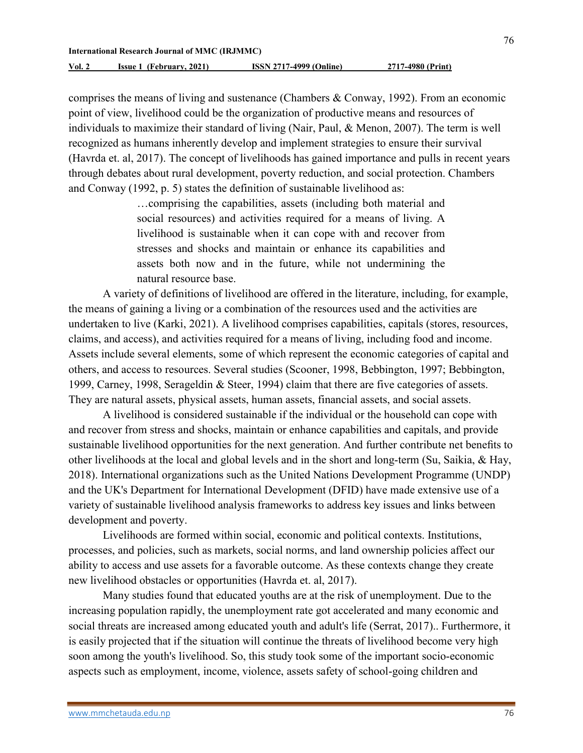76

comprises the means of living and sustenance (Chambers & Conway, 1992). From an economic point of view, livelihood could be the organization of productive means and resources of individuals to maximize their standard of living (Nair, Paul, & Menon, 2007). The term is well recognized as humans inherently develop and implement strategies to ensure their survival (Havrda et. al, 2017). The concept of livelihoods has gained importance and pulls in recent years through debates about rural development, poverty reduction, and social protection. Chambers and Conway (1992, p. 5) states the definition of sustainable livelihood as:

> …comprising the capabilities, assets (including both material and social resources) and activities required for a means of living. A livelihood is sustainable when it can cope with and recover from stresses and shocks and maintain or enhance its capabilities and assets both now and in the future, while not undermining the natural resource base.

A variety of definitions of livelihood are offered in the literature, including, for example, the means of gaining a living or a combination of the resources used and the activities are undertaken to live (Karki, 2021). A livelihood comprises capabilities, capitals (stores, resources, claims, and access), and activities required for a means of living, including food and income. Assets include several elements, some of which represent the economic categories of capital and others, and access to resources. Several studies (Scooner, 1998, Bebbington, 1997; Bebbington, 1999, Carney, 1998, Serageldin & Steer, 1994) claim that there are five categories of assets. They are natural assets, physical assets, human assets, financial assets, and social assets.

A livelihood is considered sustainable if the individual or the household can cope with and recover from stress and shocks, maintain or enhance capabilities and capitals, and provide sustainable livelihood opportunities for the next generation. And further contribute net benefits to other livelihoods at the local and global levels and in the short and long-term (Su, Saikia, & Hay, 2018). International organizations such as the United Nations Development Programme (UNDP) and the UK's Department for International Development (DFID) have made extensive use of a variety of sustainable livelihood analysis frameworks to address key issues and links between development and poverty.

Livelihoods are formed within social, economic and political contexts. Institutions, processes, and policies, such as markets, social norms, and land ownership policies affect our ability to access and use assets for a favorable outcome. As these contexts change they create new livelihood obstacles or opportunities (Havrda et. al, 2017).

Many studies found that educated youths are at the risk of unemployment. Due to the increasing population rapidly, the unemployment rate got accelerated and many economic and social threats are increased among educated youth and adult's life (Serrat, 2017).. Furthermore, it is easily projected that if the situation will continue the threats of livelihood become very high soon among the youth's livelihood. So, this study took some of the important socio-economic aspects such as employment, income, violence, assets safety of school-going children and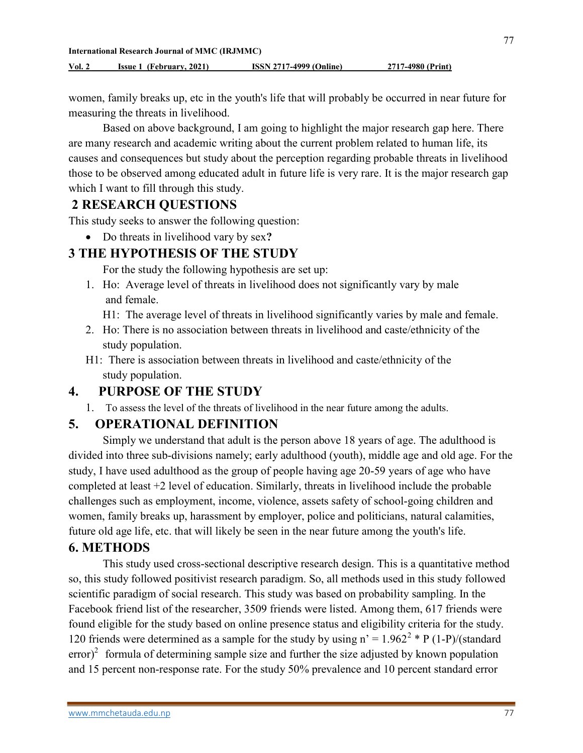77

women, family breaks up, etc in the youth's life that will probably be occurred in near future for measuring the threats in livelihood.

Based on above background, I am going to highlight the major research gap here. There are many research and academic writing about the current problem related to human life, its causes and consequences but study about the perception regarding probable threats in livelihood those to be observed among educated adult in future life is very rare. It is the major research gap which I want to fill through this study.

## 2 RESEARCH QUESTIONS

This study seeks to answer the following question:

• Do threats in livelihood vary by sex?

# 3 THE HYPOTHESIS OF THE STUDY

For the study the following hypothesis are set up:

- 1. Ho: Average level of threats in livelihood does not significantly vary by male and female.
	- H1: The average level of threats in livelihood significantly varies by male and female.
- 2. Ho: There is no association between threats in livelihood and caste/ethnicity of the study population.
- H1: There is association between threats in livelihood and caste/ethnicity of the study population.

# 4. PURPOSE OF THE STUDY

1. To assess the level of the threats of livelihood in the near future among the adults.

# 5. OPERATIONAL DEFINITION

Simply we understand that adult is the person above 18 years of age. The adulthood is divided into three sub-divisions namely; early adulthood (youth), middle age and old age. For the study, I have used adulthood as the group of people having age 20-59 years of age who have completed at least +2 level of education. Similarly, threats in livelihood include the probable challenges such as employment, income, violence, assets safety of school-going children and women, family breaks up, harassment by employer, police and politicians, natural calamities, future old age life, etc. that will likely be seen in the near future among the youth's life.

# 6. METHODS

This study used cross-sectional descriptive research design. This is a quantitative method so, this study followed positivist research paradigm. So, all methods used in this study followed scientific paradigm of social research. This study was based on probability sampling. In the Facebook friend list of the researcher, 3509 friends were listed. Among them, 617 friends were found eligible for the study based on online presence status and eligibility criteria for the study. 120 friends were determined as a sample for the study by using  $n' = 1.962^2 * P(1-P)/(standard)$  $\text{error}<sup>2</sup>$  formula of determining sample size and further the size adjusted by known population and 15 percent non-response rate. For the study 50% prevalence and 10 percent standard error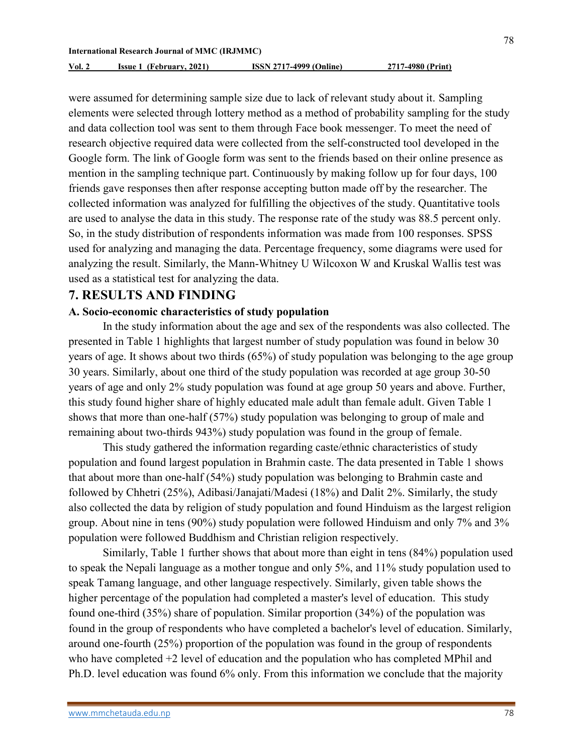were assumed for determining sample size due to lack of relevant study about it. Sampling elements were selected through lottery method as a method of probability sampling for the study and data collection tool was sent to them through Face book messenger. To meet the need of research objective required data were collected from the self-constructed tool developed in the Google form. The link of Google form was sent to the friends based on their online presence as mention in the sampling technique part. Continuously by making follow up for four days, 100 friends gave responses then after response accepting button made off by the researcher. The collected information was analyzed for fulfilling the objectives of the study. Quantitative tools

are used to analyse the data in this study. The response rate of the study was 88.5 percent only. So, in the study distribution of respondents information was made from 100 responses. SPSS used for analyzing and managing the data. Percentage frequency, some diagrams were used for analyzing the result. Similarly, the Mann-Whitney U Wilcoxon W and Kruskal Wallis test was used as a statistical test for analyzing the data.

## 7. RESULTS AND FINDING

#### A. Socio-economic characteristics of study population

In the study information about the age and sex of the respondents was also collected. The presented in Table 1 highlights that largest number of study population was found in below 30 years of age. It shows about two thirds (65%) of study population was belonging to the age group 30 years. Similarly, about one third of the study population was recorded at age group 30-50 years of age and only 2% study population was found at age group 50 years and above. Further, this study found higher share of highly educated male adult than female adult. Given Table 1 shows that more than one-half (57%) study population was belonging to group of male and remaining about two-thirds 943%) study population was found in the group of female.

This study gathered the information regarding caste/ethnic characteristics of study population and found largest population in Brahmin caste. The data presented in Table 1 shows that about more than one-half (54%) study population was belonging to Brahmin caste and followed by Chhetri (25%), Adibasi/Janajati/Madesi (18%) and Dalit 2%. Similarly, the study also collected the data by religion of study population and found Hinduism as the largest religion group. About nine in tens (90%) study population were followed Hinduism and only 7% and 3% population were followed Buddhism and Christian religion respectively.

Similarly, Table 1 further shows that about more than eight in tens (84%) population used to speak the Nepali language as a mother tongue and only 5%, and 11% study population used to speak Tamang language, and other language respectively. Similarly, given table shows the higher percentage of the population had completed a master's level of education. This study found one-third (35%) share of population. Similar proportion (34%) of the population was found in the group of respondents who have completed a bachelor's level of education. Similarly, around one-fourth (25%) proportion of the population was found in the group of respondents who have completed +2 level of education and the population who has completed MPhil and Ph.D. level education was found 6% only. From this information we conclude that the majority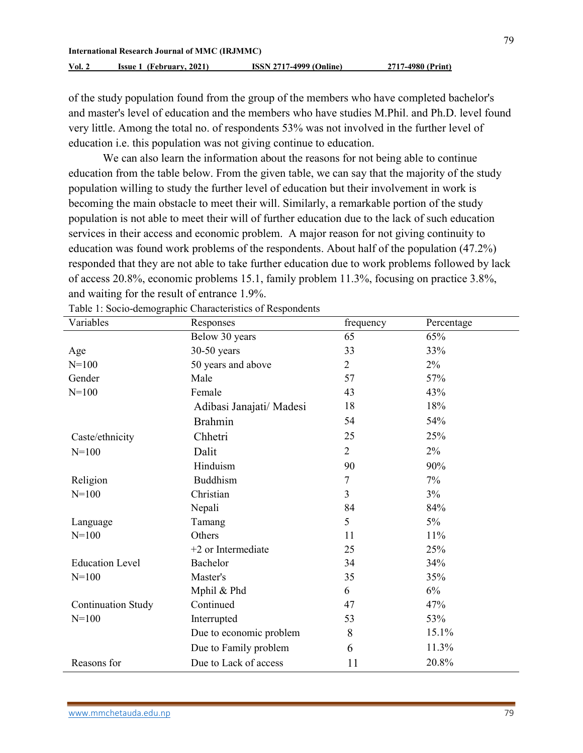of the study population found from the group of the members who have completed bachelor's and master's level of education and the members who have studies M.Phil. and Ph.D. level found very little. Among the total no. of respondents 53% was not involved in the further level of education i.e. this population was not giving continue to education.

We can also learn the information about the reasons for not being able to continue education from the table below. From the given table, we can say that the majority of the study population willing to study the further level of education but their involvement in work is becoming the main obstacle to meet their will. Similarly, a remarkable portion of the study population is not able to meet their will of further education due to the lack of such education services in their access and economic problem. A major reason for not giving continuity to education was found work problems of the respondents. About half of the population (47.2%) responded that they are not able to take further education due to work problems followed by lack of access 20.8%, economic problems 15.1, family problem 11.3%, focusing on practice 3.8%, and waiting for the result of entrance 1.9%.

| Variables                 | Responses                | frequency      | Percentage |
|---------------------------|--------------------------|----------------|------------|
|                           | Below 30 years           | 65             | 65%        |
| Age                       | $30-50$ years            | 33             | 33%        |
| $N = 100$                 | 50 years and above       | $\overline{2}$ | $2\%$      |
| Gender                    | Male                     | 57             | 57%        |
| $N = 100$                 | Female                   | 43             | 43%        |
|                           | Adibasi Janajati/ Madesi | 18             | 18%        |
|                           | <b>Brahmin</b>           | 54             | 54%        |
| Caste/ethnicity           | Chhetri                  | 25             | 25%        |
| $N = 100$                 | Dalit                    | $\overline{2}$ | 2%         |
|                           | Hinduism                 | 90             | 90%        |
| Religion                  | <b>Buddhism</b>          | 7              | 7%         |
| $N = 100$                 | Christian                | 3              | $3\%$      |
|                           | Nepali                   | 84             | 84%        |
| Language                  | Tamang                   | 5              | $5\%$      |
| $N = 100$                 | Others                   | 11             | 11%        |
|                           | $+2$ or Intermediate     | 25             | 25%        |
| <b>Education Level</b>    | Bachelor                 | 34             | 34%        |
| $N = 100$                 | Master's                 | 35             | 35%        |
|                           | Mphil & Phd              | 6              | 6%         |
| <b>Continuation Study</b> | Continued                | 47             | 47%        |
| $N = 100$                 | Interrupted              | 53             | 53%        |
|                           | Due to economic problem  | 8              | 15.1%      |
|                           | Due to Family problem    | 6              | 11.3%      |
| Reasons for               | Due to Lack of access    | 11             | 20.8%      |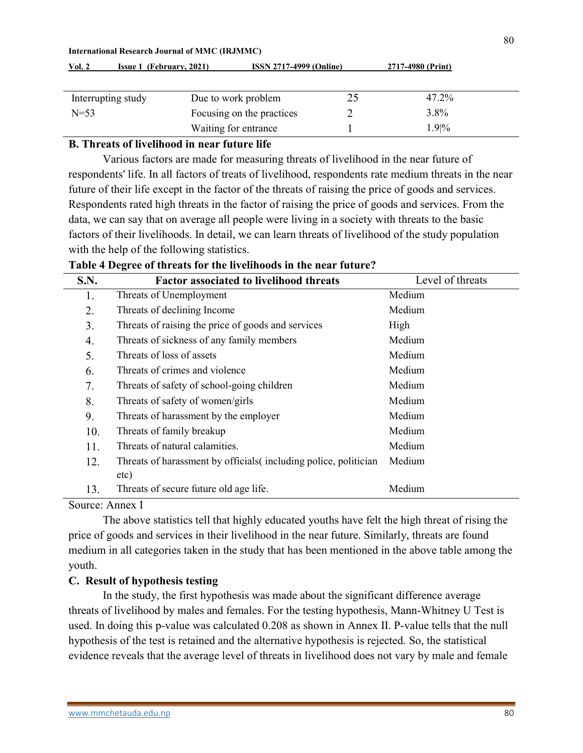| Interrupting study | Due to work problem       | 25 | 47.2%   |  |
|--------------------|---------------------------|----|---------|--|
| $N = 53$           | Focusing on the practices |    | 3.8%    |  |
|                    | Waiting for entrance      |    | $1.9\%$ |  |

Vol. 2 Issue 1 (February, 2021) ISSN 2717-4999 (Online) 2717-4980 (Print)

### B. Threats of livelihood in near future life

Various factors are made for measuring threats of livelihood in the near future of respondents' life. In all factors of treats of livelihood, respondents rate medium threats in the near future of their life except in the factor of the threats of raising the price of goods and services. Respondents rated high threats in the factor of raising the price of goods and services. From the data, we can say that on average all people were living in a society with threats to the basic factors of their livelihoods. In detail, we can learn threats of livelihood of the study population with the help of the following statistics.

Table 4 Degree of threats for the livelihoods in the near future?

| <b>S.N.</b> | <b>Factor associated to livelihood threats</b>                           | Level of threats |
|-------------|--------------------------------------------------------------------------|------------------|
| 1.          | Threats of Unemployment                                                  | Medium           |
| 2.          | Threats of declining Income                                              | Medium           |
| 3.          | Threats of raising the price of goods and services                       | High             |
| 4.          | Threats of sickness of any family members                                | Medium           |
| 5.          | Threats of loss of assets                                                | Medium           |
| 6.          | Threats of crimes and violence                                           | Medium           |
| 7.          | Threats of safety of school-going children                               | Medium           |
| 8.          | Threats of safety of women/girls                                         | Medium           |
| 9.          | Threats of harassment by the employer                                    | Medium           |
| 10.         | Threats of family breakup                                                | Medium           |
| 11.         | Threats of natural calamities.                                           | Medium           |
| 12.         | Threats of harassment by officials (including police, politician<br>etc) | Medium           |
| 13.         | Threats of secure future old age life.                                   | Medium           |

Source: Annex I

The above statistics tell that highly educated youths have felt the high threat of rising the price of goods and services in their livelihood in the near future. Similarly, threats are found medium in all categories taken in the study that has been mentioned in the above table among the youth.

#### C. Result of hypothesis testing

In the study, the first hypothesis was made about the significant difference average threats of livelihood by males and females. For the testing hypothesis, Mann-Whitney U Test is used. In doing this p-value was calculated 0.208 as shown in Annex II. P-value tells that the null hypothesis of the test is retained and the alternative hypothesis is rejected. So, the statistical evidence reveals that the average level of threats in livelihood does not vary by male and female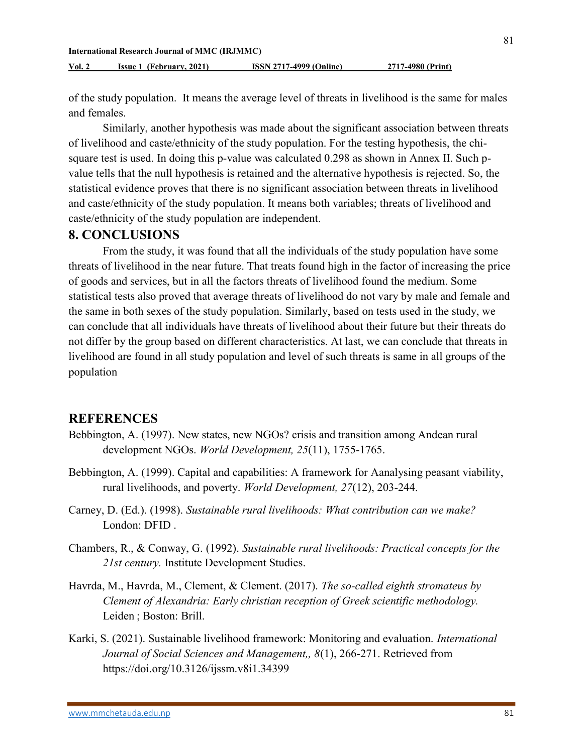of the study population. It means the average level of threats in livelihood is the same for males and females.

 Similarly, another hypothesis was made about the significant association between threats of livelihood and caste/ethnicity of the study population. For the testing hypothesis, the chisquare test is used. In doing this p-value was calculated 0.298 as shown in Annex II. Such pvalue tells that the null hypothesis is retained and the alternative hypothesis is rejected. So, the statistical evidence proves that there is no significant association between threats in livelihood and caste/ethnicity of the study population. It means both variables; threats of livelihood and caste/ethnicity of the study population are independent.

## 8. CONCLUSIONS

From the study, it was found that all the individuals of the study population have some threats of livelihood in the near future. That treats found high in the factor of increasing the price of goods and services, but in all the factors threats of livelihood found the medium. Some statistical tests also proved that average threats of livelihood do not vary by male and female and the same in both sexes of the study population. Similarly, based on tests used in the study, we can conclude that all individuals have threats of livelihood about their future but their threats do not differ by the group based on different characteristics. At last, we can conclude that threats in livelihood are found in all study population and level of such threats is same in all groups of the population

## **REFERENCES**

- Bebbington, A. (1997). New states, new NGOs? crisis and transition among Andean rural development NGOs. World Development, 25(11), 1755-1765.
- Bebbington, A. (1999). Capital and capabilities: A framework for Aanalysing peasant viability, rural livelihoods, and poverty. World Development, 27(12), 203-244.
- Carney, D. (Ed.). (1998). Sustainable rural livelihoods: What contribution can we make? London: DFID .
- Chambers, R., & Conway, G. (1992). Sustainable rural livelihoods: Practical concepts for the 21st century. Institute Development Studies.
- Havrda, M., Havrda, M., Clement, & Clement. (2017). The so-called eighth stromateus by Clement of Alexandria: Early christian reception of Greek scientific methodology. Leiden ; Boston: Brill.
- Karki, S. (2021). Sustainable livelihood framework: Monitoring and evaluation. International Journal of Social Sciences and Management,, 8(1), 266-271. Retrieved from https://doi.org/10.3126/ijssm.v8i1.34399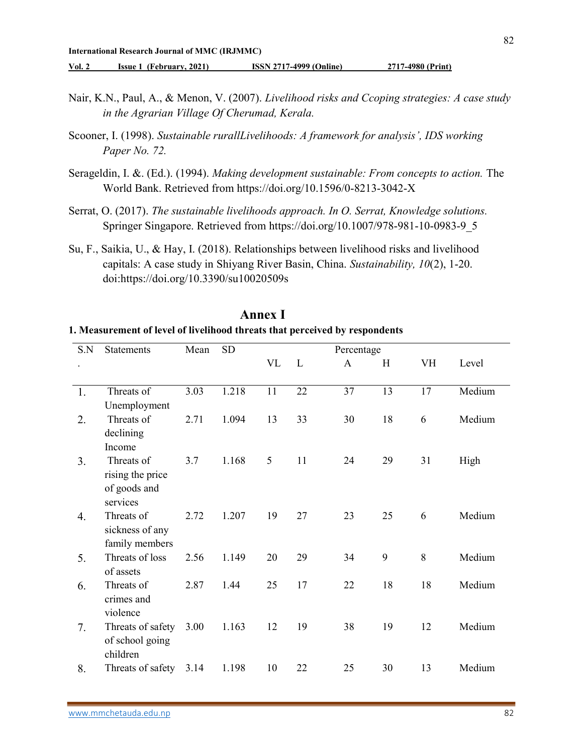Vol. 2 Issue 1 (February, 2021) ISSN 2717-4999 (Online) 2717-4980 (Print)

- Nair, K.N., Paul, A., & Menon, V. (2007). Livelihood risks and Ccoping strategies: A case study in the Agrarian Village Of Cherumad, Kerala.
- Scooner, I. (1998). Sustainable rurallLivelihoods: A framework for analysis', IDS working Paper No. 72.
- Serageldin, I. &. (Ed.). (1994). Making development sustainable: From concepts to action. The World Bank. Retrieved from https://doi.org/10.1596/0-8213-3042-X
- Serrat, O. (2017). The sustainable livelihoods approach. In O. Serrat, Knowledge solutions. Springer Singapore. Retrieved from https://doi.org/10.1007/978-981-10-0983-9\_5
- Su, F., Saikia, U., & Hay, I. (2018). Relationships between livelihood risks and livelihood capitals: A case study in Shiyang River Basin, China. Sustainability, 10(2), 1-20. doi:https://doi.org/10.3390/su10020509s

| S.N | <b>Statements</b>                                          | Mean | <b>SD</b> | Percentage |    |    |    |    |        |
|-----|------------------------------------------------------------|------|-----------|------------|----|----|----|----|--------|
|     |                                                            |      |           | <b>VL</b>  | L  | A  | H  | VH | Level  |
| 1.  | Threats of<br>Unemployment                                 | 3.03 | 1.218     | 11         | 22 | 37 | 13 | 17 | Medium |
| 2.  | Threats of<br>declining<br>Income                          | 2.71 | 1.094     | 13         | 33 | 30 | 18 | 6  | Medium |
| 3.  | Threats of<br>rising the price<br>of goods and<br>services | 3.7  | 1.168     | 5          | 11 | 24 | 29 | 31 | High   |
| 4.  | Threats of<br>sickness of any<br>family members            | 2.72 | 1.207     | 19         | 27 | 23 | 25 | 6  | Medium |
| 5.  | Threats of loss<br>of assets                               | 2.56 | 1.149     | 20         | 29 | 34 | 9  | 8  | Medium |
| 6.  | Threats of<br>crimes and<br>violence                       | 2.87 | 1.44      | 25         | 17 | 22 | 18 | 18 | Medium |
| 7.  | Threats of safety<br>of school going<br>children           | 3.00 | 1.163     | 12         | 19 | 38 | 19 | 12 | Medium |
| 8.  | Threats of safety                                          | 3.14 | 1.198     | 10         | 22 | 25 | 30 | 13 | Medium |

# Annex I

#### 1. Measurement of level of livelihood threats that perceived by respondents